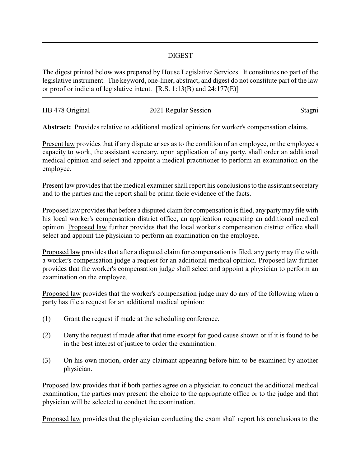## DIGEST

The digest printed below was prepared by House Legislative Services. It constitutes no part of the legislative instrument. The keyword, one-liner, abstract, and digest do not constitute part of the law or proof or indicia of legislative intent. [R.S. 1:13(B) and 24:177(E)]

| HB 478 Original | 2021 Regular Session | Stagni |
|-----------------|----------------------|--------|

**Abstract:** Provides relative to additional medical opinions for worker's compensation claims.

Present law provides that if any dispute arises as to the condition of an employee, or the employee's capacity to work, the assistant secretary, upon application of any party, shall order an additional medical opinion and select and appoint a medical practitioner to perform an examination on the employee.

Present law provides that the medical examiner shall report his conclusions to the assistant secretary and to the parties and the report shall be prima facie evidence of the facts.

Proposed law provides that before a disputed claim for compensation is filed, any partymay file with his local worker's compensation district office, an application requesting an additional medical opinion. Proposed law further provides that the local worker's compensation district office shall select and appoint the physician to perform an examination on the employee.

Proposed law provides that after a disputed claim for compensation is filed, any party may file with a worker's compensation judge a request for an additional medical opinion. Proposed law further provides that the worker's compensation judge shall select and appoint a physician to perform an examination on the employee.

Proposed law provides that the worker's compensation judge may do any of the following when a party has file a request for an additional medical opinion:

- (1) Grant the request if made at the scheduling conference.
- (2) Deny the request if made after that time except for good cause shown or if it is found to be in the best interest of justice to order the examination.
- (3) On his own motion, order any claimant appearing before him to be examined by another physician.

Proposed law provides that if both parties agree on a physician to conduct the additional medical examination, the parties may present the choice to the appropriate office or to the judge and that physician will be selected to conduct the examination.

Proposed law provides that the physician conducting the exam shall report his conclusions to the